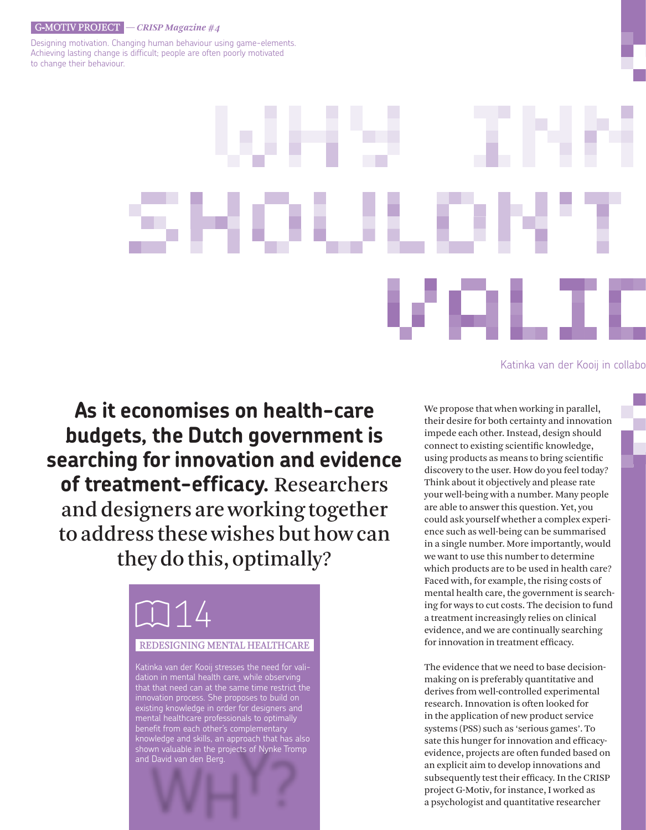#### G-mOTIV PrOjEcT *— CRISP Magazine #4*

Designing motivation. Changing human behaviour using game-elements. Achieving lasting change is difficult; people are often poorly motivated to change their behaviour.

#### Katinka van der Kooij in collabo

**As it economises on health-care budgets, the Dutch government is searching for innovation and evidence**  of treatment-efficacy. Researchers and designers are working together to address these wishes but how can they do this, optimally?



We propose that when working in parallel, their desire for both certainty and innovation impede each other. Instead, design should connect to existing scientific knowledge, using products as means to bring scientific discovery to the user. How do you feel today? Think about it objectively and please rate your well-being with a number. Many people are able to answer this question. Yet, you could ask yourself whether a complex experience such as well-being can be summarised in a single number. More importantly, would we want to use this number to determine which products are to be used in health care? Faced with, for example, the rising costs of mental health care, the government is searching for ways to cut costs. The decision to fund a treatment increasingly relies on clinical evidence, and we are continually searching for innovation in treatment efficacy.

The evidence that we need to base decisionmaking on is preferably quantitative and derives from well-controlled experimental research. Innovation is often looked for in the application of new product service systems (PSS) such as 'serious games'. To sate this hunger for innovation and efficacyevidence, projects are often funded based on an explicit aim to develop innovations and subsequently test their efficacy. In the CRISP project G-Motiv, for instance, I worked as a psychologist and quantitative researcher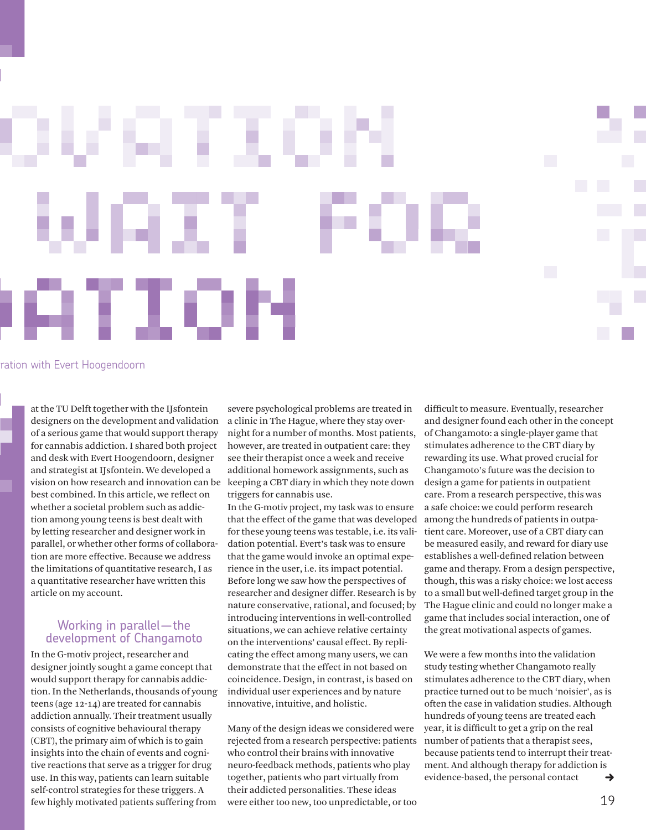ration with Evert Hoogendoorn

at the TU Delft together with the IJsfontein designers on the development and validation of a serious game that would support therapy for cannabis addiction. I shared both project and desk with Evert Hoogendoorn, designer and strategist at IJsfontein. We developed a vision on how research and innovation can be best combined. In this article, we reflect on whether a societal problem such as addiction among young teens is best dealt with by letting researcher and designer work in parallel, or whether other forms of collaboration are more effective. Because we address the limitations of quantitative research, I as a quantitative researcher have written this article on my account.

но

### Working in parallel—the development of Changamoto

In the G-motiv project, researcher and designer jointly sought a game concept that would support therapy for cannabis addiction. In the Netherlands, thousands of young teens (age 12-14) are treated for cannabis addiction annually. Their treatment usually consists of cognitive behavioural therapy (CBT), the primary aim of which is to gain insights into the chain of events and cognitive reactions that serve as a trigger for drug use. In this way, patients can learn suitable self-control strategies for these triggers. A few highly motivated patients suffering from

severe psychological problems are treated in a clinic in The Hague, where they stay overnight for a number of months. Most patients, however, are treated in outpatient care: they see their therapist once a week and receive additional homework assignments, such as keeping a CBT diary in which they note down triggers for cannabis use.

In the G-motiv project, my task was to ensure that the effect of the game that was developed for these young teens was testable, i.e. its validation potential. Evert's task was to ensure that the game would invoke an optimal experience in the user, i.e. its impact potential. Before long we saw how the perspectives of researcher and designer differ. Research is by nature conservative, rational, and focused; by introducing interventions in well-controlled situations, we can achieve relative certainty on the interventions' causal effect. By replicating the effect among many users, we can demonstrate that the effect in not based on coincidence. Design, in contrast, is based on individual user experiences and by nature innovative, intuitive, and holistic.

Many of the design ideas we considered were rejected from a research perspective: patients who control their brains with innovative neuro-feedback methods, patients who play together, patients who part virtually from their addicted personalities. These ideas were either too new, too unpredictable, or too difficult to measure. Eventually, researcher and designer found each other in the concept of Changamoto: a single-player game that stimulates adherence to the CBT diary by rewarding its use. What proved crucial for Changamoto's future was the decision to design a game for patients in outpatient care. From a research perspective, this was a safe choice: we could perform research among the hundreds of patients in outpatient care. Moreover, use of a CBT diary can be measured easily, and reward for diary use establishes a well-defined relation between game and therapy. From a design perspective, though, this was a risky choice: we lost access to a small but well-defined target group in the The Hague clinic and could no longer make a game that includes social interaction, one of the great motivational aspects of games.

We were a few months into the validation study testing whether Changamoto really stimulates adherence to the CBT diary, when practice turned out to be much 'noisier', as is often the case in validation studies. Although hundreds of young teens are treated each year, it is difficult to get a grip on the real number of patients that a therapist sees, because patients tend to interrupt their treatment. And although therapy for addiction is evidence-based, the personal contact  $\rightarrow$